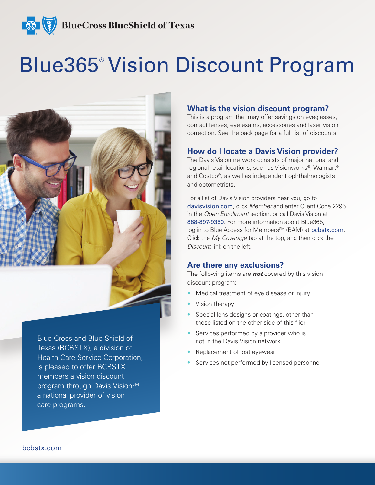## **Exas** BlueCross BlueShield of Texas

# Blue365® Vision Discount Program



Blue Cross and Blue Shield of Texas (BCBSTX), a division of Health Care Service Corporation, is pleased to offer BCBSTX members a vision discount program through Davis Vision<sup>SM</sup>, a national provider of vision care programs.

#### **What is the vision discount program?**

This is a program that may offer savings on eyeglasses, contact lenses, eye exams, accessories and laser vision correction. See the back page for a full list of discounts.

#### **How do I locate a Davis Vision provider?**

The Davis Vision network consists of major national and regional retail locations, such as Visionworks®, Walmart® and Costco®, as well as independent ophthalmologists and optometrists.

For a list of Davis Vision providers near you, go to davisvision.com, click *Member* and enter Client Code 2295 in the *Open Enrollment* section, or call Davis Vision at 888-897-9350. For more information about Blue365, log in to Blue Access for Members<sup>SM</sup> (BAM) at bcbstx.com. Click the *My Coverage* tab at the top, and then click the *Discount* link on the left.

#### **Are there any exclusions?**

The following items are *not* covered by this vision discount program:

- Medical treatment of eye disease or injury
- Vision therapy
- Special lens designs or coatings, other than those listed on the other side of this flier
- Services performed by a provider who is not in the Davis Vision network
- Replacement of lost eyewear
- Services not performed by licensed personnel

bcbstx.com